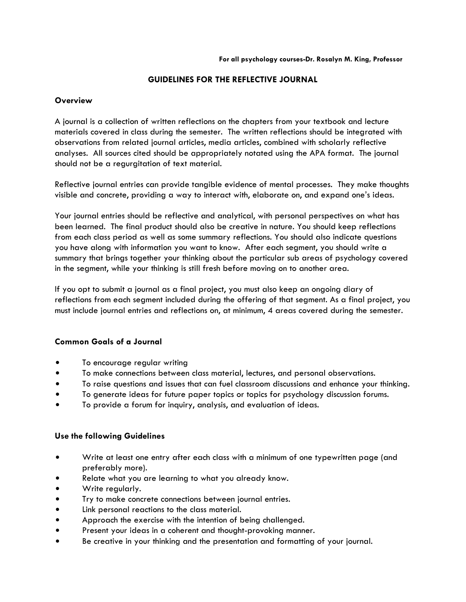## **GUIDELINES FOR THE REFLECTIVE JOURNAL**

## **Overview**

A journal is a collection of written reflections on the chapters from your textbook and lecture materials covered in class during the semester. The written reflections should be integrated with observations from related journal articles, media articles, combined with scholarly reflective analyses. All sources cited should be appropriately notated using the APA format. The journal should not be a regurgitation of text material.

Reflective journal entries can provide tangible evidence of mental processes. They make thoughts visible and concrete, providing a way to interact with, elaborate on, and expand one's ideas.

Your journal entries should be reflective and analytical, with personal perspectives on what has been learned. The final product should also be creative in nature. You should keep reflections from each class period as well as some summary reflections. You should also indicate questions you have along with information you want to know. After each segment, you should write a summary that brings together your thinking about the particular sub areas of psychology covered in the segment, while your thinking is still fresh before moving on to another area.

If you opt to submit a journal as a final project, you must also keep an ongoing diary of reflections from each segment included during the offering of that segment. As a final project, you must include journal entries and reflections on, at minimum, 4 areas covered during the semester.

# **Common Goals of a Journal**

- To encourage regular writing
- $\bullet$  To make connections between class material, lectures, and personal observations.
- $\bullet$  To raise questions and issues that can fuel classroom discussions and enhance your thinking.
- To generate ideas for future paper topics or topics for psychology discussion forums.
- $\bullet$  To provide a forum for inquiry, analysis, and evaluation of ideas.

### **Use the following Guidelines**

- Write at least one entry after each class with a minimum of one typewritten page (and preferably more).
- Relate what you are learning to what you already know.
- Write regularly.
- Try to make concrete connections between journal entries.
- $\bullet$  Link personal reactions to the class material.
- Approach the exercise with the intention of being challenged.
- Present your ideas in a coherent and thought-provoking manner.
- $\bullet$  Be creative in your thinking and the presentation and formatting of your journal.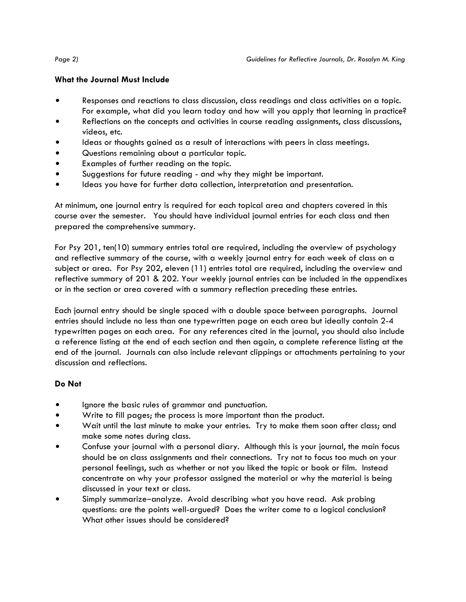# **What the Journal Must Include**

- Responses and reactions to class discussion, class readings and class activities on a topic. For example, what did you learn today and how will you apply that learning in practice?
- Reflections on the concepts and activities in course reading assignments, class discussions, videos, etc.
- Ideas or thoughts gained as a result of interactions with peers in class meetings.
- Questions remaining about a particular topic.
- Examples of further reading on the topic.
- Suggestions for future reading and why they might be important.
- $\bullet$  Ideas you have for further data collection, interpretation and presentation.

At minimum, one journal entry is required for each topical area and chapters covered in this course over the semester. You should have individual journal entries for each class and then prepared the comprehensive summary.

For Psy 201, ten(10) summary entries total are required, including the overview of psychology and reflective summary of the course, with a weekly journal entry for each week of class on a subject or area. For Psy 202, eleven (11) entries total are required, including the overview and reflective summary of 201 & 202. Your weekly journal entries can be included in the appendixes or in the section or area covered with a summary reflection preceding these entries.

Each journal entry should be single spaced with a double space between paragraphs. Journal entries should include no less than one typewritten page on each area but ideally contain 2-4 typewritten pages on each area. For any references cited in the journal, you should also include a reference listing at the end of each section and then again, a complete reference listing at the end of the journal. Journals can also include relevant clippings or attachments pertaining to your discussion and reflections.

# **Do Not**

- Ignore the basic rules of grammar and punctuation.
- Write to fill pages; the process is more important than the product.
- Wait until the last minute to make your entries. Try to make them soon after class; and make some notes during class.
- Confuse your journal with a personal diary. Although this is your journal, the main focus should be on class assignments and their connections. Try not to focus too much on your personal feelings, such as whether or not you liked the topic or book or film. Instead concentrate on why your professor assigned the material or why the material is being discussed in your text or class.
- Simply summarize-analyze. Avoid describing what you have read. Ask probing questions: are the points well-argued? Does the writer come to a logical conclusion? What other issues should be considered?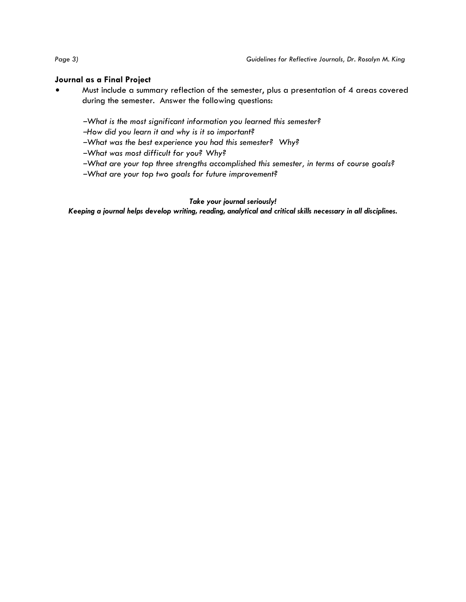# **Journal as a Final Project**

Must include a summary reflection of the semester, plus a presentation of 4 areas covered during the semester. Answer the following questions:

<sup>B</sup>*What is the most significant information you learned this semester?* 

<sup>B</sup>*How did you learn it and why is it so important?* 

<sup>B</sup>*What was the best experience you had this semester? Why?* 

<sup>B</sup>*What was most difficult for you? Why?* 

<sup>B</sup>*What are your top three strengths accomplished this semester, in terms of course goals?* 

<sup>B</sup>*What are your top two goals for future improvement?*

# *Take your journal seriously!*

*Keeping a journal helps develop writing, reading, analytical and critical skills necessary in all disciplines.*